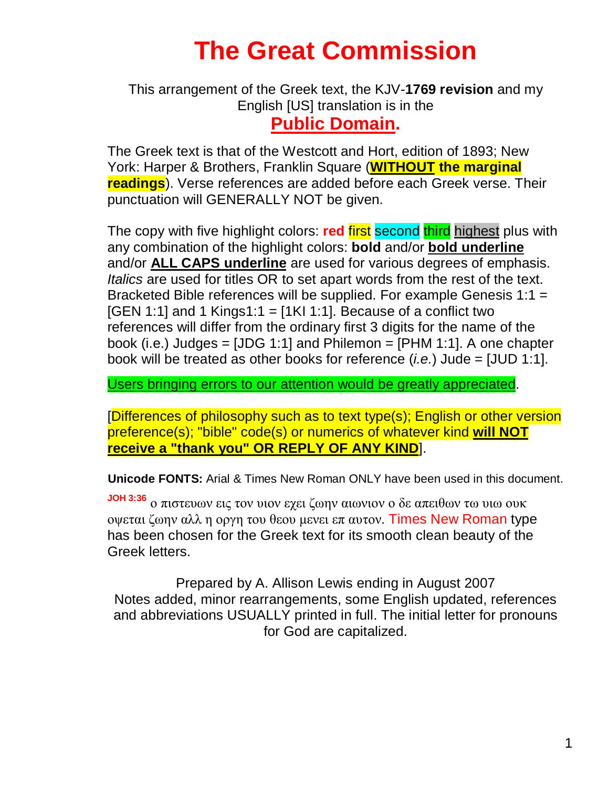# **The Great Commission**

### This arrangement of the Greek text, the KJV-**1769 revision** and my English [US] translation is in the **Public Domain.**

The Greek text is that of the Westcott and Hort, edition of 1893; New York: Harper & Brothers, Franklin Square (**WITHOUT the marginal readings**). Verse references are added before each Greek verse. Their punctuation will GENERALLY NOT be given.

The copy with five highlight colors: **red** first second third highest plus with any combination of the highlight colors: **bold** and/or **bold underline** and/or **ALL CAPS underline** are used for various degrees of emphasis. *Italics* are used for titles OR to set apart words from the rest of the text. Bracketed Bible references will be supplied. For example Genesis 1:1 =  $[GEN 1:1]$  and 1 Kings1:1 =  $[1K1 1:1]$ . Because of a conflict two references will differ from the ordinary first 3 digits for the name of the book (i.e.) Judges =  $[JDG 1:1]$  and Philemon =  $[PHM 1:1]$ . A one chapter book will be treated as other books for reference (*i.e.*) Jude = [JUD 1:1].

Users bringing errors to our attention would be greatly appreciated.

[Differences of philosophy such as to text type(s); English or other version preference(s); "bible" code(s) or numerics of whatever kind **will NOT receive a "thank you" OR REPLY OF ANY KIND**].

**Unicode FONTS:** Arial & Times New Roman ONLY have been used in this document.

**JOH 3:36** ο πιστευων εις τον υιον εχει ζωην αιωνιον ο δε απειθων τω υιω ουκ οψεται ζωην αλλ η οργη του θεου μενει επ αυτον. Times New Roman type has been chosen for the Greek text for its smooth clean beauty of the Greek letters.

Prepared by A. Allison Lewis ending in August 2007 Notes added, minor rearrangements, some English updated, references and abbreviations USUALLY printed in full. The initial letter for pronouns for God are capitalized.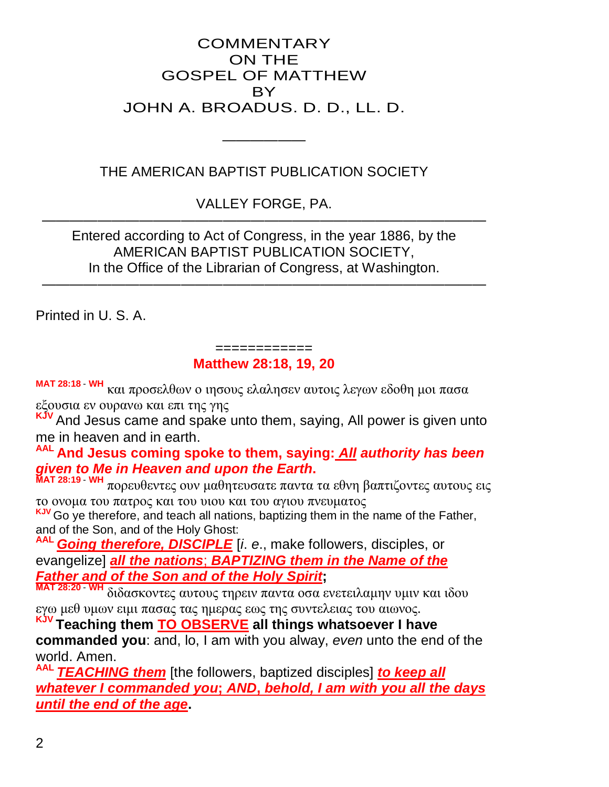#### **COMMENTARY** ON THE GOSPEL OF MATTHEW BY JOHN A. BROADUS. D. D., LL. D.

#### THE AMERICAN BAPTIST PUBLICATION SOCIETY

——————

VALLEY FORGE, PA. ————————————————————————————————

Entered according to Act of Congress, in the year 1886, by the AMERICAN BAPTIST PUBLICATION SOCIETY, In the Office of the Librarian of Congress, at Washington.

————————————————————————————————

Printed in U. S. A.

#### ============ **Matthew 28:18, 19, 20**

**MAT 28:18** - **WH** και προσελθων ο ιησους ελαλησεν αυτοις λεγων εδοθη μοι πασα εξουσια εν ουρανω και επι της γης

And Jesus came and spake unto them, saying, All power is given unto me in heaven and in earth.

**AAL And Jesus coming spoke to them, saying:** *All authority has been given to Me in Heaven and upon the Earth***.**

**ΜΑΤ 28:19** - **WH** πορευθεντες ουν μαθητευσατε παντα τα εθνη βαπτιζοντες αυτους εις το ονομα του πατρος και του υιου και του αγιου πνευματος

**KJV** Go ye therefore, and teach all nations, baptizing them in the name of the Father, and of the Son, and of the Holy Ghost:

**Going therefore, DISCIPLE** [i. e., make followers, disciples, or evangelize] *all the nations*; *BAPTIZING them in the Name of the Father and of the Son and of the Holy Spirit***;**

**ΜΑΤ 28:20** - **WH** διδασκοντες αυτους τηρειν παντα οσα ενετειλαμην υμιν και ιδου εγω μεθ υμων ειμι πασας τας ημερας εως της συντελειας του αιωνος.

**KJV Teaching them TO OBSERVE all things whatsoever I have commanded you**: and, lo, I am with you alway, *even* unto the end of the world. Amen.

*TEACHING them* [the followers, baptized disciples] *to keep all whatever I commanded you***;** *AND***,** *behold, I am with you all the days until the end of the age***.**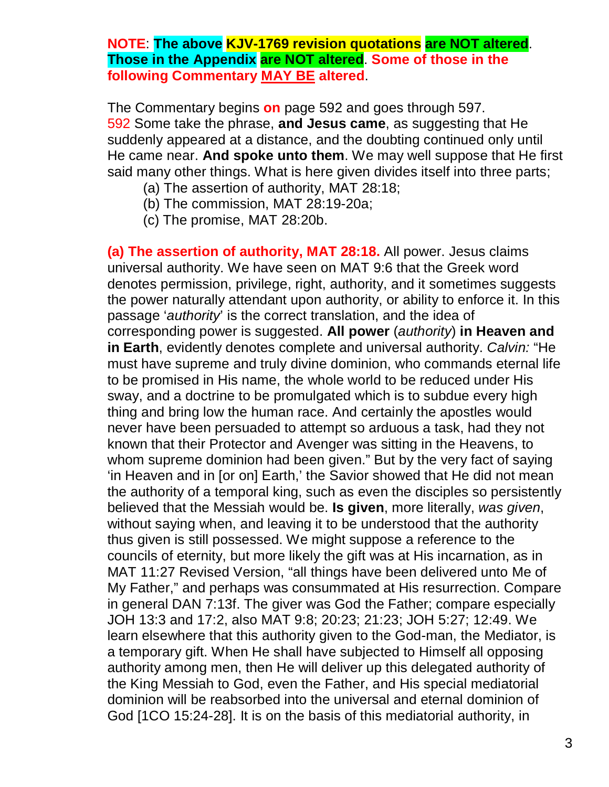#### **NOTE**: **The above KJV-1769 revision quotations are NOT altered**. **Those in the Appendix are NOT altered**. **Some of those in the following Commentary MAY BE altered**.

The Commentary begins **on** page 592 and goes through 597. 592 Some take the phrase, **and Jesus came**, as suggesting that He suddenly appeared at a distance, and the doubting continued only until He came near. **And spoke unto them**. We may well suppose that He first said many other things. What is here given divides itself into three parts;

- (a) The assertion of authority, MAT 28:18;
- (b) The commission, MAT 28:19-20a;
- (c) The promise, MAT 28:20b.

**(a) The assertion of authority, MAT 28:18.** All power. Jesus claims universal authority. We have seen on MAT 9:6 that the Greek word denotes permission, privilege, right, authority, and it sometimes suggests the power naturally attendant upon authority, or ability to enforce it. In this passage '*authority*' is the correct translation, and the idea of corresponding power is suggested. **All power** (*authority*) **in Heaven and in Earth**, evidently denotes complete and universal authority. *Calvin:* "He must have supreme and truly divine dominion, who commands eternal life to be promised in His name, the whole world to be reduced under His sway, and a doctrine to be promulgated which is to subdue every high thing and bring low the human race. And certainly the apostles would never have been persuaded to attempt so arduous a task, had they not known that their Protector and Avenger was sitting in the Heavens, to whom supreme dominion had been given." But by the very fact of saying 'in Heaven and in [or on] Earth,' the Savior showed that He did not mean the authority of a temporal king, such as even the disciples so persistently believed that the Messiah would be. **Is given**, more literally, *was given*, without saying when, and leaving it to be understood that the authority thus given is still possessed. We might suppose a reference to the councils of eternity, but more likely the gift was at His incarnation, as in MAT 11:27 Revised Version, "all things have been delivered unto Me of My Father," and perhaps was consummated at His resurrection. Compare in general DAN 7:13f. The giver was God the Father; compare especially JOH 13:3 and 17:2, also MAT 9:8; 20:23; 21:23; JOH 5:27; 12:49. We learn elsewhere that this authority given to the God-man, the Mediator, is a temporary gift. When He shall have subjected to Himself all opposing authority among men, then He will deliver up this delegated authority of the King Messiah to God, even the Father, and His special mediatorial dominion will be reabsorbed into the universal and eternal dominion of God [1CO 15:24-28]. It is on the basis of this mediatorial authority, in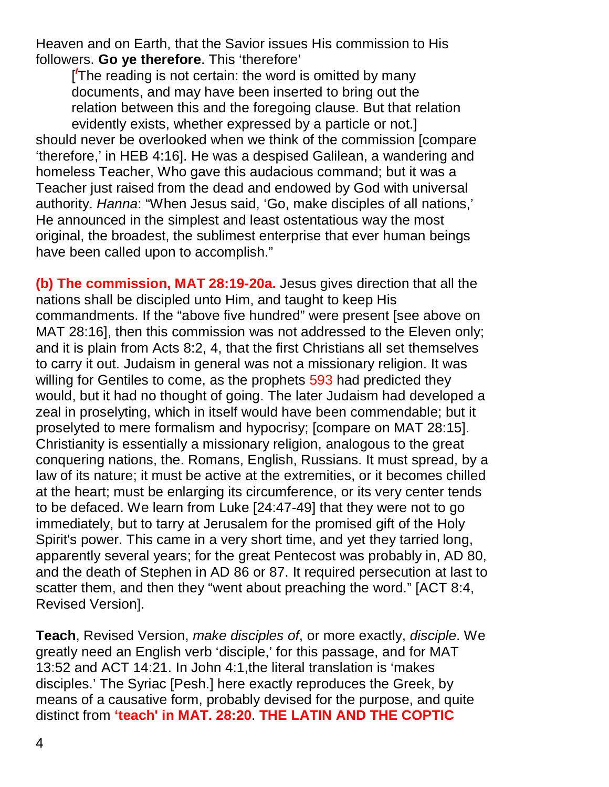Heaven and on Earth, that the Savior issues His commission to His followers. **Go ye therefore**. This 'therefore'

[ *I* The reading is not certain: the word is omitted by many documents, and may have been inserted to bring out the relation between this and the foregoing clause. But that relation evidently exists, whether expressed by a particle or not.] should never be overlooked when we think of the commission [compare 'therefore,' in HEB 4:16]. He was a despised Galilean, a wandering and homeless Teacher, Who gave this audacious command; but it was a Teacher just raised from the dead and endowed by God with universal authority. *Hanna*: "When Jesus said, 'Go, make disciples of all nations,' He announced in the simplest and least ostentatious way the most original, the broadest, the sublimest enterprise that ever human beings have been called upon to accomplish."

**(b) The commission, MAT 28:19-20a.** Jesus gives direction that all the nations shall be discipled unto Him, and taught to keep His commandments. If the "above five hundred" were present [see above on MAT 28:16], then this commission was not addressed to the Eleven only; and it is plain from Acts 8:2, 4, that the first Christians all set themselves to carry it out. Judaism in general was not a missionary religion. It was willing for Gentiles to come, as the prophets 593 had predicted they would, but it had no thought of going. The later Judaism had developed a zeal in proselyting, which in itself would have been commendable; but it proselyted to mere formalism and hypocrisy; [compare on MAT 28:15]. Christianity is essentially a missionary religion, analogous to the great conquering nations, the. Romans, English, Russians. It must spread, by a law of its nature; it must be active at the extremities, or it becomes chilled at the heart; must be enlarging its circumference, or its very center tends to be defaced. We learn from Luke [24:47-49] that they were not to go immediately, but to tarry at Jerusalem for the promised gift of the Holy Spirit's power. This came in a very short time, and yet they tarried long, apparently several years; for the great Pentecost was probably in, AD 80, and the death of Stephen in AD 86 or 87. It required persecution at last to scatter them, and then they "went about preaching the word." [ACT 8:4, Revised Version].

**Teach**, Revised Version, *make disciples of*, or more exactly, *disciple*. We greatly need an English verb 'disciple,' for this passage, and for MAT 13:52 and ACT 14:21. In John 4:1,the literal translation is 'makes disciples.' The Syriac [Pesh.] here exactly reproduces the Greek, by means of a causative form, probably devised for the purpose, and quite distinct from **'teach' in MAT. 28:20**. **THE LATIN AND THE COPTIC**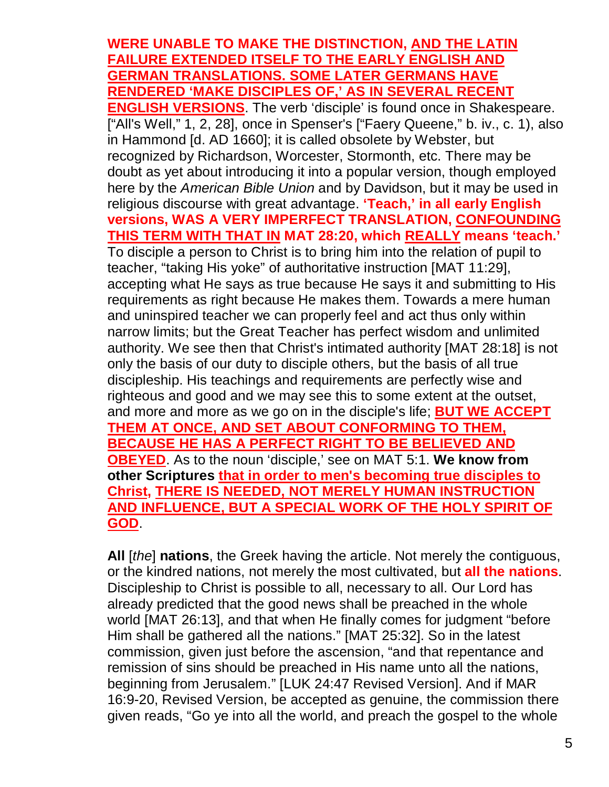#### **WERE UNABLE TO MAKE THE DISTINCTION, AND THE LATIN FAILURE EXTENDED ITSELF TO THE EARLY ENGLISH AND GERMAN TRANSLATIONS. SOME LATER GERMANS HAVE RENDERED 'MAKE DISCIPLES OF,' AS IN SEVERAL RECENT**

**ENGLISH VERSIONS**. The verb 'disciple' is found once in Shakespeare. ["All's Well," 1, 2, 28], once in Spenser's ["Faery Queene," b. iv., c. 1), also in Hammond [d. AD 1660]; it is called obsolete by Webster, but recognized by Richardson, Worcester, Stormonth, etc. There may be doubt as yet about introducing it into a popular version, though employed here by the *American Bible Union* and by Davidson, but it may be used in religious discourse with great advantage. **'Teach,' in all early English versions, WAS A VERY IMPERFECT TRANSLATION, CONFOUNDING THIS TERM WITH THAT IN MAT 28:20, which REALLY means 'teach.'** To disciple a person to Christ is to bring him into the relation of pupil to teacher, "taking His yoke" of authoritative instruction [MAT 11:29], accepting what He says as true because He says it and submitting to His requirements as right because He makes them. Towards a mere human and uninspired teacher we can properly feel and act thus only within narrow limits; but the Great Teacher has perfect wisdom and unlimited authority. We see then that Christ's intimated authority [MAT 28:18] is not only the basis of our duty to disciple others, but the basis of all true discipleship. His teachings and requirements are perfectly wise and righteous and good and we may see this to some extent at the outset, and more and more as we go on in the disciple's life; **BUT WE ACCEPT THEM AT ONCE, AND SET ABOUT CONFORMING TO THEM, BECAUSE HE HAS A PERFECT RIGHT TO BE BELIEVED AND OBEYED**. As to the noun 'disciple,' see on MAT 5:1. **We know from other Scriptures that in order to men's becoming true disciples to Christ, THERE IS NEEDED, NOT MERELY HUMAN INSTRUCTION AND INFLUENCE, BUT A SPECIAL WORK OF THE HOLY SPIRIT OF GOD**.

**All** [*the*] **nations**, the Greek having the article. Not merely the contiguous, or the kindred nations, not merely the most cultivated, but **all the nations**. Discipleship to Christ is possible to all, necessary to all. Our Lord has already predicted that the good news shall be preached in the whole world [MAT 26:13], and that when He finally comes for judgment "before Him shall be gathered all the nations." [MAT 25:32]. So in the latest commission, given just before the ascension, "and that repentance and remission of sins should be preached in His name unto all the nations, beginning from Jerusalem." [LUK 24:47 Revised Version]. And if MAR 16:9-20, Revised Version, be accepted as genuine, the commission there given reads, "Go ye into all the world, and preach the gospel to the whole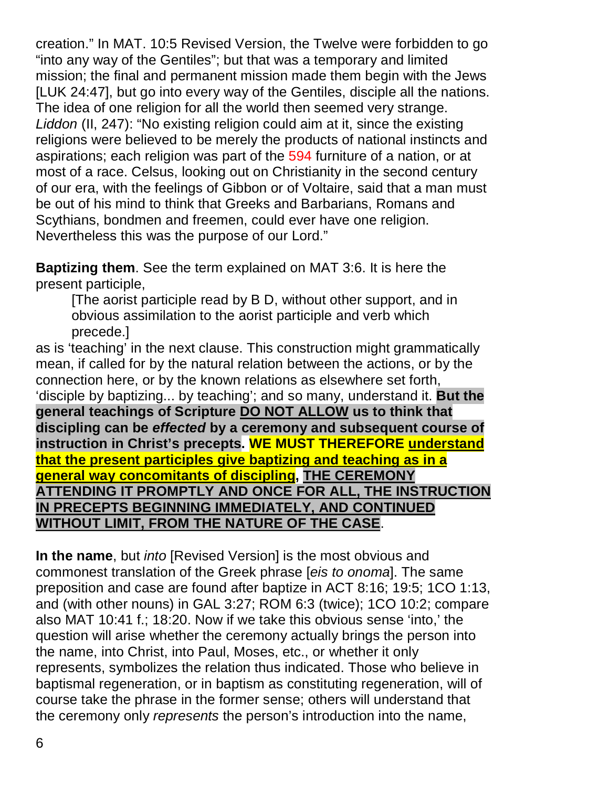creation." In MAT. 10:5 Revised Version, the Twelve were forbidden to go "into any way of the Gentiles"; but that was a temporary and limited mission; the final and permanent mission made them begin with the Jews [LUK 24:47], but go into every way of the Gentiles, disciple all the nations. The idea of one religion for all the world then seemed very strange. *Liddon* (II, 247): "No existing religion could aim at it, since the existing religions were believed to be merely the products of national instincts and aspirations; each religion was part of the 594 furniture of a nation, or at most of a race. Celsus, looking out on Christianity in the second century of our era, with the feelings of Gibbon or of Voltaire, said that a man must be out of his mind to think that Greeks and Barbarians, Romans and Scythians, bondmen and freemen, could ever have one religion. Nevertheless this was the purpose of our Lord."

**Baptizing them**. See the term explained on MAT 3:6. It is here the present participle,

[The aorist participle read by B D, without other support, and in obvious assimilation to the aorist participle and verb which precede.]

as is 'teaching' in the next clause. This construction might grammatically mean, if called for by the natural relation between the actions, or by the connection here, or by the known relations as elsewhere set forth, 'disciple by baptizing... by teaching'; and so many, understand it. **But the general teachings of Scripture DO NOT ALLOW us to think that discipling can be** *effected* **by a ceremony and subsequent course of instruction in Christ's precepts. WE MUST THEREFORE understand that the present participles give baptizing and teaching as in a general way concomitants of discipling, THE CEREMONY ATTENDING IT PROMPTLY AND ONCE FOR ALL, THE INSTRUCTION IN PRECEPTS BEGINNING IMMEDIATELY, AND CONTINUED WITHOUT LIMIT, FROM THE NATURE OF THE CASE**.

**In the name**, but *into* [Revised Version] is the most obvious and commonest translation of the Greek phrase [*eis to onoma*]. The same preposition and case are found after baptize in ACT 8:16; 19:5; 1CO 1:13, and (with other nouns) in GAL 3:27; ROM 6:3 (twice); 1CO 10:2; compare also MAT 10:41 f.; 18:20. Now if we take this obvious sense 'into,' the question will arise whether the ceremony actually brings the person into the name, into Christ, into Paul, Moses, etc., or whether it only represents, symbolizes the relation thus indicated. Those who believe in baptismal regeneration, or in baptism as constituting regeneration, will of course take the phrase in the former sense; others will understand that the ceremony only *represents* the person's introduction into the name,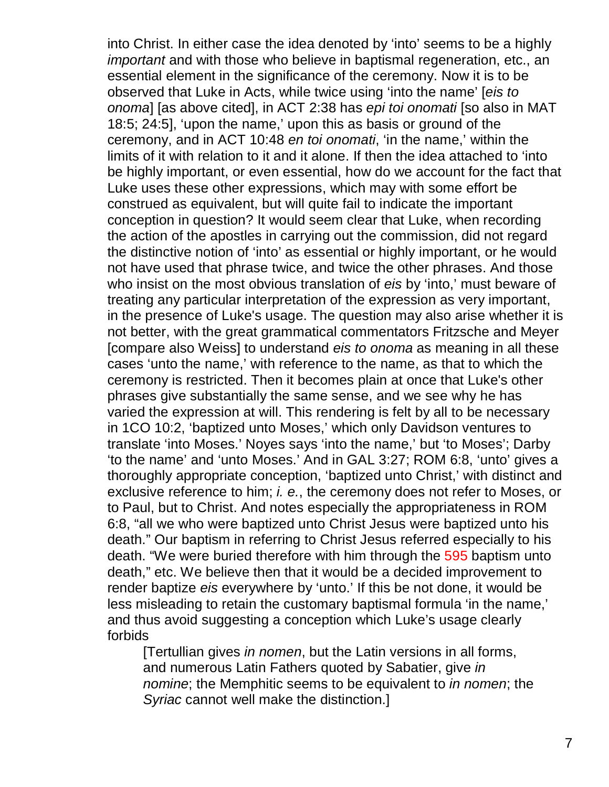into Christ. In either case the idea denoted by 'into' seems to be a highly *important* and with those who believe in baptismal regeneration, etc., an essential element in the significance of the ceremony. Now it is to be observed that Luke in Acts, while twice using 'into the name' [*eis to onoma*] [as above cited], in ACT 2:38 has *epi toi onomati* [so also in MAT 18:5; 24:5], 'upon the name,' upon this as basis or ground of the ceremony, and in ACT 10:48 *en toi onomati*, 'in the name,' within the limits of it with relation to it and it alone. If then the idea attached to 'into be highly important, or even essential, how do we account for the fact that Luke uses these other expressions, which may with some effort be construed as equivalent, but will quite fail to indicate the important conception in question? It would seem clear that Luke, when recording the action of the apostles in carrying out the commission, did not regard the distinctive notion of 'into' as essential or highly important, or he would not have used that phrase twice, and twice the other phrases. And those who insist on the most obvious translation of *eis* by 'into,' must beware of treating any particular interpretation of the expression as very important, in the presence of Luke's usage. The question may also arise whether it is not better, with the great grammatical commentators Fritzsche and Meyer [compare also Weiss] to understand *eis to onoma* as meaning in all these cases 'unto the name,' with reference to the name, as that to which the ceremony is restricted. Then it becomes plain at once that Luke's other phrases give substantially the same sense, and we see why he has varied the expression at will. This rendering is felt by all to be necessary in 1CO 10:2, 'baptized unto Moses,' which only Davidson ventures to translate 'into Moses.' Noyes says 'into the name,' but 'to Moses'; Darby 'to the name' and 'unto Moses.' And in GAL 3:27; ROM 6:8, 'unto' gives a thoroughly appropriate conception, 'baptized unto Christ,' with distinct and exclusive reference to him; *i. e.*, the ceremony does not refer to Moses, or to Paul, but to Christ. And notes especially the appropriateness in ROM 6:8, "all we who were baptized unto Christ Jesus were baptized unto his death." Our baptism in referring to Christ Jesus referred especially to his death. "We were buried therefore with him through the 595 baptism unto death," etc. We believe then that it would be a decided improvement to render baptize *eis* everywhere by 'unto.' If this be not done, it would be less misleading to retain the customary baptismal formula 'in the name,' and thus avoid suggesting a conception which Luke's usage clearly forbids

[Tertullian gives *in nomen*, but the Latin versions in all forms, and numerous Latin Fathers quoted by Sabatier, give *in nomine*; the Memphitic seems to be equivalent to *in nomen*; the *Syriac* cannot well make the distinction.]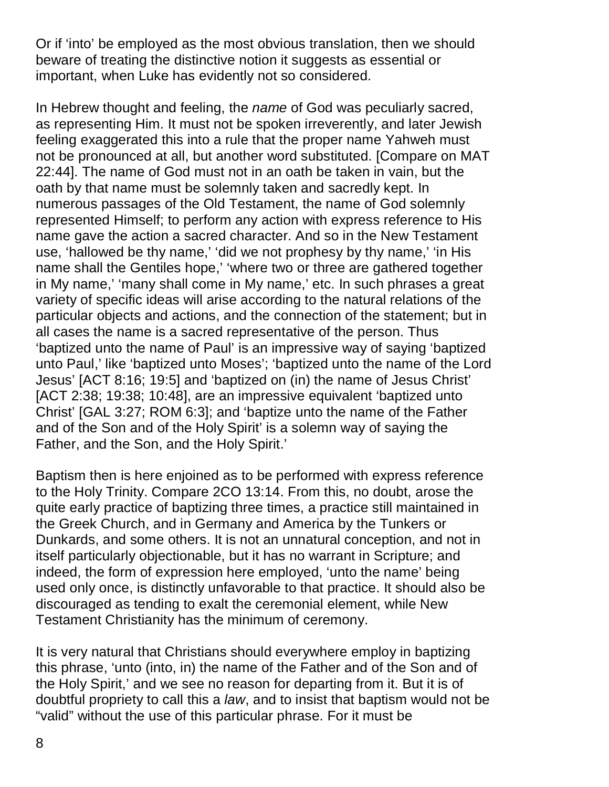Or if 'into' be employed as the most obvious translation, then we should beware of treating the distinctive notion it suggests as essential or important, when Luke has evidently not so considered.

In Hebrew thought and feeling, the *name* of God was peculiarly sacred, as representing Him. It must not be spoken irreverently, and later Jewish feeling exaggerated this into a rule that the proper name Yahweh must not be pronounced at all, but another word substituted. [Compare on MAT 22:44]. The name of God must not in an oath be taken in vain, but the oath by that name must be solemnly taken and sacredly kept. In numerous passages of the Old Testament, the name of God solemnly represented Himself; to perform any action with express reference to His name gave the action a sacred character. And so in the New Testament use, 'hallowed be thy name,' 'did we not prophesy by thy name,' 'in His name shall the Gentiles hope,' 'where two or three are gathered together in My name,' 'many shall come in My name,' etc. In such phrases a great variety of specific ideas will arise according to the natural relations of the particular objects and actions, and the connection of the statement; but in all cases the name is a sacred representative of the person. Thus 'baptized unto the name of Paul' is an impressive way of saying 'baptized unto Paul,' like 'baptized unto Moses'; 'baptized unto the name of the Lord Jesus' [ACT 8:16; 19:5] and 'baptized on (in) the name of Jesus Christ' [ACT 2:38; 19:38; 10:48], are an impressive equivalent 'baptized unto Christ' [GAL 3:27; ROM 6:3]; and 'baptize unto the name of the Father and of the Son and of the Holy Spirit' is a solemn way of saying the Father, and the Son, and the Holy Spirit.'

Baptism then is here enjoined as to be performed with express reference to the Holy Trinity. Compare 2CO 13:14. From this, no doubt, arose the quite early practice of baptizing three times, a practice still maintained in the Greek Church, and in Germany and America by the Tunkers or Dunkards, and some others. It is not an unnatural conception, and not in itself particularly objectionable, but it has no warrant in Scripture; and indeed, the form of expression here employed, 'unto the name' being used only once, is distinctly unfavorable to that practice. It should also be discouraged as tending to exalt the ceremonial element, while New Testament Christianity has the minimum of ceremony.

It is very natural that Christians should everywhere employ in baptizing this phrase, 'unto (into, in) the name of the Father and of the Son and of the Holy Spirit,' and we see no reason for departing from it. But it is of doubtful propriety to call this a *law*, and to insist that baptism would not be "valid" without the use of this particular phrase. For it must be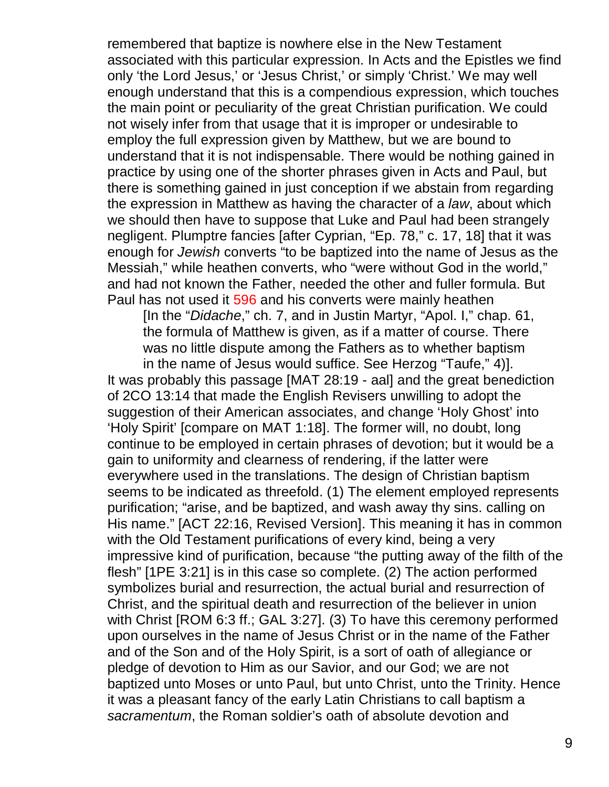remembered that baptize is nowhere else in the New Testament associated with this particular expression. In Acts and the Epistles we find only 'the Lord Jesus,' or 'Jesus Christ,' or simply 'Christ.' We may well enough understand that this is a compendious expression, which touches the main point or peculiarity of the great Christian purification. We could not wisely infer from that usage that it is improper or undesirable to employ the full expression given by Matthew, but we are bound to understand that it is not indispensable. There would be nothing gained in practice by using one of the shorter phrases given in Acts and Paul, but there is something gained in just conception if we abstain from regarding the expression in Matthew as having the character of a *law*, about which we should then have to suppose that Luke and Paul had been strangely negligent. Plumptre fancies [after Cyprian, "Ep. 78," c. 17, 18] that it was enough for *Jewish* converts "to be baptized into the name of Jesus as the Messiah," while heathen converts, who "were without God in the world," and had not known the Father, needed the other and fuller formula. But Paul has not used it 596 and his converts were mainly heathen

[In the "*Didache*," ch. 7, and in Justin Martyr, "Apol. I," chap. 61, the formula of Matthew is given, as if a matter of course. There was no little dispute among the Fathers as to whether baptism

in the name of Jesus would suffice. See Herzog "Taufe," 4)]. It was probably this passage [MAT 28:19 - aal] and the great benediction of 2CO 13:14 that made the English Revisers unwilling to adopt the suggestion of their American associates, and change 'Holy Ghost' into 'Holy Spirit' [compare on MAT 1:18]. The former will, no doubt, long continue to be employed in certain phrases of devotion; but it would be a gain to uniformity and clearness of rendering, if the latter were everywhere used in the translations. The design of Christian baptism seems to be indicated as threefold. (1) The element employed represents purification; "arise, and be baptized, and wash away thy sins. calling on His name." [ACT 22:16, Revised Version]. This meaning it has in common with the Old Testament purifications of every kind, being a very impressive kind of purification, because "the putting away of the filth of the flesh" [1PE 3:21] is in this case so complete. (2) The action performed symbolizes burial and resurrection, the actual burial and resurrection of Christ, and the spiritual death and resurrection of the believer in union with Christ [ROM 6:3 ff.; GAL 3:27]. (3) To have this ceremony performed upon ourselves in the name of Jesus Christ or in the name of the Father and of the Son and of the Holy Spirit, is a sort of oath of allegiance or pledge of devotion to Him as our Savior, and our God; we are not baptized unto Moses or unto Paul, but unto Christ, unto the Trinity. Hence it was a pleasant fancy of the early Latin Christians to call baptism a *sacramentum*, the Roman soldier's oath of absolute devotion and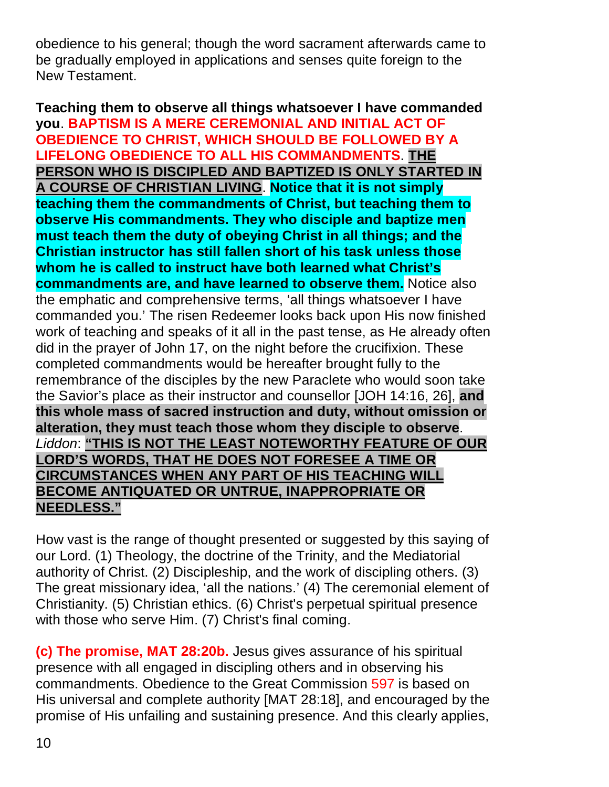obedience to his general; though the word sacrament afterwards came to be gradually employed in applications and senses quite foreign to the New Testament.

**Teaching them to observe all things whatsoever I have commanded you**. **BAPTISM IS A MERE CEREMONIAL AND INITIAL ACT OF OBEDIENCE TO CHRIST, WHICH SHOULD BE FOLLOWED BY A LIFELONG OBEDIENCE TO ALL HIS COMMANDMENTS**. **THE PERSON WHO IS DISCIPLED AND BAPTIZED IS ONLY STARTED IN A COURSE OF CHRISTIAN LIVING**. **Notice that it is not simply teaching them the commandments of Christ, but teaching them to observe His commandments. They who disciple and baptize men must teach them the duty of obeying Christ in all things; and the Christian instructor has still fallen short of his task unless those whom he is called to instruct have both learned what Christ's commandments are, and have learned to observe them.** Notice also the emphatic and comprehensive terms, 'all things whatsoever I have commanded you.' The risen Redeemer looks back upon His now finished work of teaching and speaks of it all in the past tense, as He already often did in the prayer of John 17, on the night before the crucifixion. These completed commandments would be hereafter brought fully to the remembrance of the disciples by the new Paraclete who would soon take the Savior's place as their instructor and counsellor [JOH 14:16, 26], **and this whole mass of sacred instruction and duty, without omission or alteration, they must teach those whom they disciple to observe**. *Liddon*: **"THIS IS NOT THE LEAST NOTEWORTHY FEATURE OF OUR LORD'S WORDS, THAT HE DOES NOT FORESEE A TIME OR CIRCUMSTANCES WHEN ANY PART OF HIS TEACHING WILL BECOME ANTIQUATED OR UNTRUE, INAPPROPRIATE OR NEEDLESS."**

How vast is the range of thought presented or suggested by this saying of our Lord. (1) Theology, the doctrine of the Trinity, and the Mediatorial authority of Christ. (2) Discipleship, and the work of discipling others. (3) The great missionary idea, 'all the nations.' (4) The ceremonial element of Christianity. (5) Christian ethics. (6) Christ's perpetual spiritual presence with those who serve Him. (7) Christ's final coming.

**(c) The promise, MAT 28:20b.** Jesus gives assurance of his spiritual presence with all engaged in discipling others and in observing his commandments. Obedience to the Great Commission 597 is based on His universal and complete authority [MAT 28:18], and encouraged by the promise of His unfailing and sustaining presence. And this clearly applies,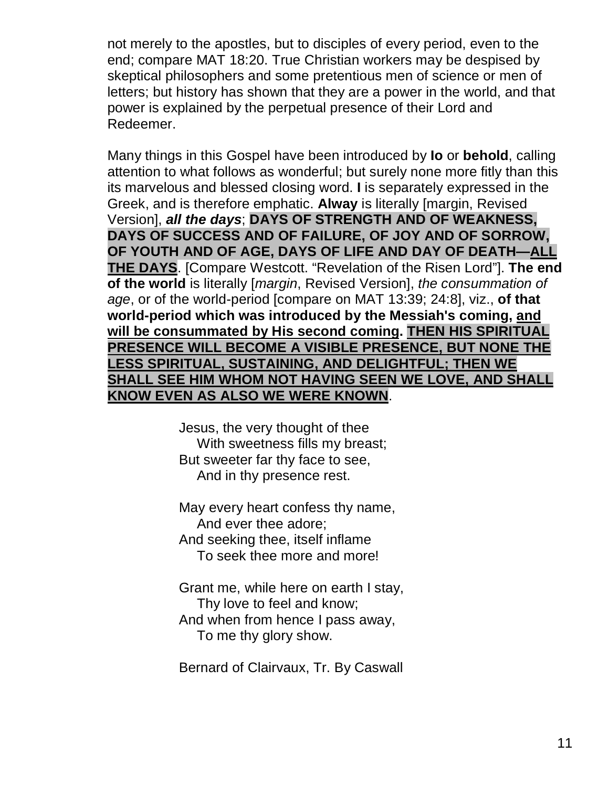not merely to the apostles, but to disciples of every period, even to the end; compare MAT 18:20. True Christian workers may be despised by skeptical philosophers and some pretentious men of science or men of letters; but history has shown that they are a power in the world, and that power is explained by the perpetual presence of their Lord and Redeemer.

Many things in this Gospel have been introduced by **Io** or **behold**, calling attention to what follows as wonderful; but surely none more fitly than this its marvelous and blessed closing word. **I** is separately expressed in the Greek, and is therefore emphatic. **Alway** is literally [margin, Revised Version], *all the days*; **DAYS OF STRENGTH AND OF WEAKNESS, DAYS OF SUCCESS AND OF FAILURE, OF JOY AND OF SORROW, OF YOUTH AND OF AGE, DAYS OF LIFE AND DAY OF DEATH—ALL THE DAYS**. [Compare Westcott. "Revelation of the Risen Lord"]. **The end of the world** is literally [*margin*, Revised Version], *the consummation of age*, or of the world-period [compare on MAT 13:39; 24:8], viz., **of that world-period which was introduced by the Messiah's coming, and will be consummated by His second coming. THEN HIS SPIRITUAL PRESENCE WILL BECOME A VISIBLE PRESENCE, BUT NONE THE LESS SPIRITUAL, SUSTAINING, AND DELIGHTFUL; THEN WE SHALL SEE HIM WHOM NOT HAVING SEEN WE LOVE, AND SHALL KNOW EVEN AS ALSO WE WERE KNOWN**.

> Jesus, the very thought of thee With sweetness fills my breast; But sweeter far thy face to see, And in thy presence rest.

May every heart confess thy name, And ever thee adore; And seeking thee, itself inflame To seek thee more and more!

Grant me, while here on earth I stay, Thy love to feel and know; And when from hence I pass away, To me thy glory show.

Bernard of Clairvaux, Tr. By Caswall